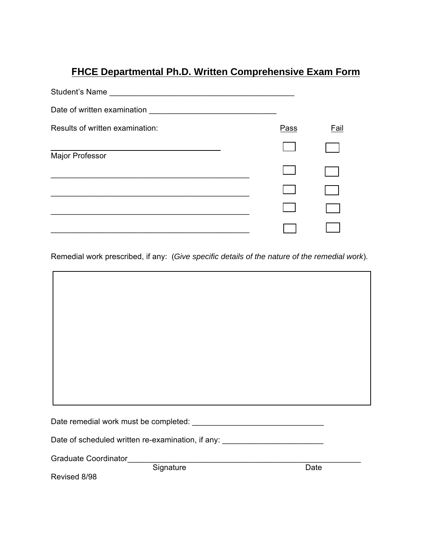## **FHCE Departmental Ph.D. Written Comprehensive Exam Form**

| Student's Name                  |      |      |
|---------------------------------|------|------|
| Date of written examination     |      |      |
| Results of written examination: | Pass | Fail |
| Major Professor                 |      |      |
|                                 |      |      |
|                                 |      |      |
|                                 |      |      |
|                                 |      |      |

Remedial work prescribed, if any: (*Give specific details of the nature of the remedial work*).

| Date of scheduled written re-examination, if any: ______________________________ |      |
|----------------------------------------------------------------------------------|------|
| <b>Graduate Coordinator</b>                                                      |      |
| Signature                                                                        | Date |

Revised 8/98